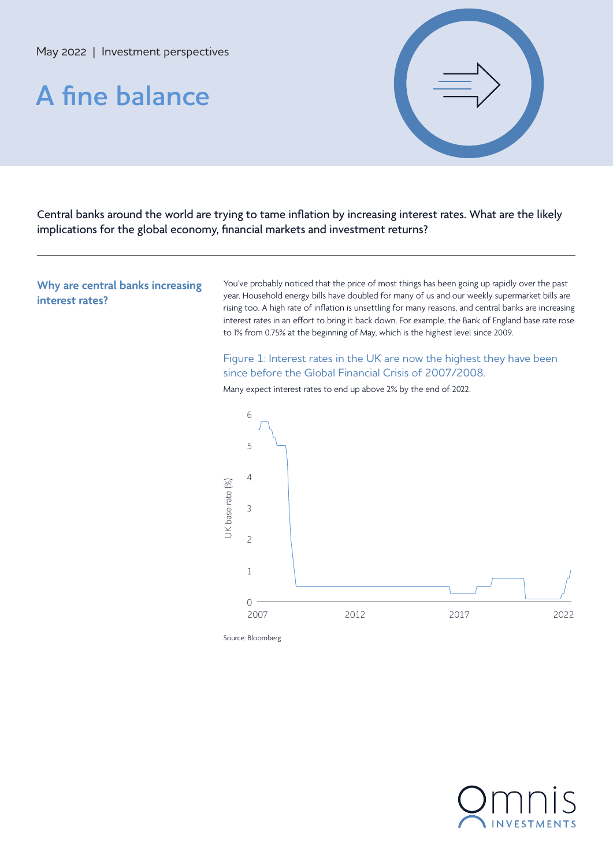# **A fine balance**



Central banks around the world are trying to tame inflation by increasing interest rates. What are the likely implications for the global economy, financial markets and investment returns?

**Why are central banks increasing interest rates?**

You've probably noticed that the price of most things has been going up rapidly over the past year. Household energy bills have doubled for many of us and our weekly supermarket bills are rising too. A high rate of inflation is unsettling for many reasons, and central banks are increasing interest rates in an effort to bring it back down. For example, the Bank of England base rate rose to 1% from 0.75% at the beginning of May, which is the highest level since 2009.

Figure 1: Interest rates in the UK are now the highest they have been since before the Global Financial Crisis of 2007/2008.



Many expect interest rates to end up above 2% by the end of 2022.

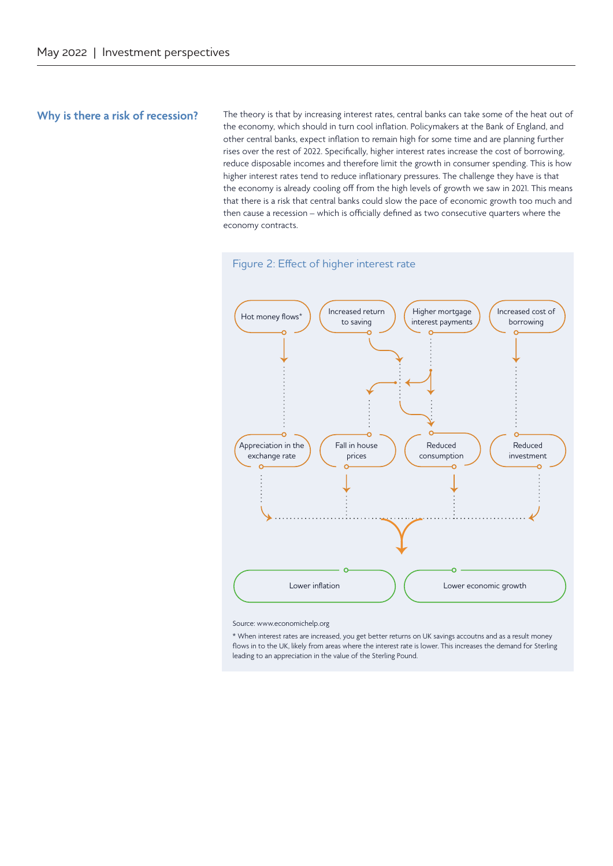#### **Why is there a risk of recession?**

The theory is that by increasing interest rates, central banks can take some of the heat out of the economy, which should in turn cool inflation. Policymakers at the Bank of England, and other central banks, expect inflation to remain high for some time and are planning further rises over the rest of 2022. Specifically, higher interest rates increase the cost of borrowing, reduce disposable incomes and therefore limit the growth in consumer spending. This is how higher interest rates tend to reduce inflationary pressures. The challenge they have is that the economy is already cooling off from the high levels of growth we saw in 2021. This means that there is a risk that central banks could slow the pace of economic growth too much and then cause a recession – which is officially defined as two consecutive quarters where the economy contracts.



Source: www.economichelp.org

\* When interest rates are increased, you get better returns on UK savings accoutns and as a result money flows in to the UK, likely from areas where the interest rate is lower. This increases the demand for Sterling leading to an appreciation in the value of the Sterling Pound.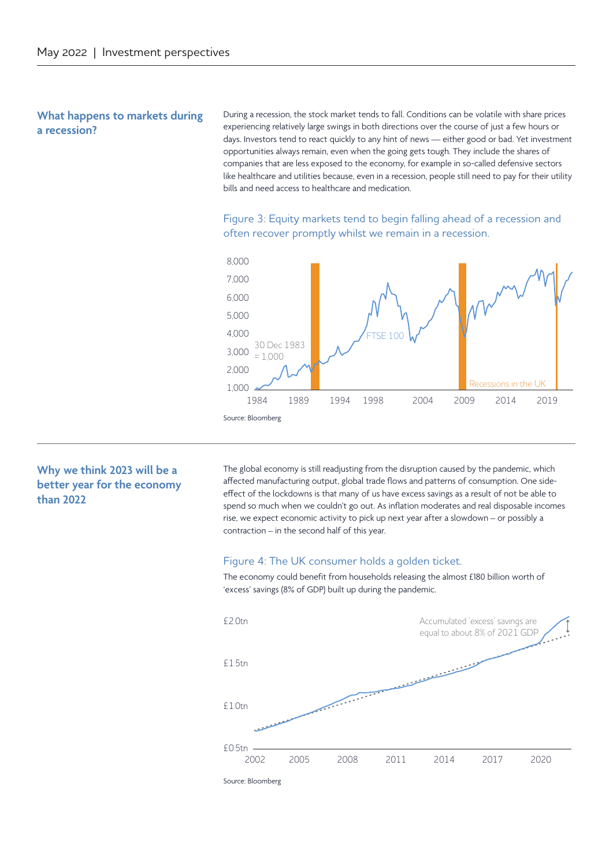#### **What happens to markets during a recession?**

During a recession, the stock market tends to fall. Conditions can be volatile with share prices experiencing relatively large swings in both directions over the course of just a few hours or days. Investors tend to react quickly to any hint of news — either good or bad. Yet investment opportunities always remain, even when the going gets tough. They include the shares of companies that are less exposed to the economy, for example in so-called defensive sectors like healthcare and utilities because, even in a recession, people still need to pay for their utility bills and need access to healthcare and medication.

Figure 3: Equity markets tend to begin falling ahead of a recession and often recover promptly whilst we remain in a recession.



## **Why we think 2023 will be a better year for the economy than 2022**

The global economy is still readjusting from the disruption caused by the pandemic, which affected manufacturing output, global trade flows and patterns of consumption. One sideeffect of the lockdowns is that many of us have excess savings as a result of not be able to spend so much when we couldn't go out. As inflation moderates and real disposable incomes rise, we expect economic activity to pick up next year after a slowdown – or possibly a contraction – in the second half of this year.

#### Figure 4: The UK consumer holds a golden ticket.

The economy could benefit from households releasing the almost £180 billion worth of 'excess' savings (8% of GDP) built up during the pandemic.